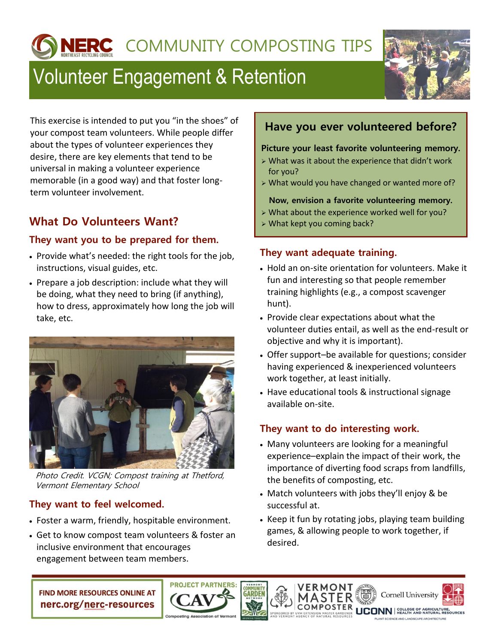**IERC** COMMUNITY COMPOSTING TIPS

# Volunteer Engagement & Retention



This exercise is intended to put you "in the shoes" of your compost team volunteers. While people differ about the types of volunteer experiences they desire, there are key elements that tend to be universal in making a volunteer experience memorable (in a good way) and that foster longterm volunteer involvement.

# **What Do Volunteers Want?**

#### **They want you to be prepared for them.**

- Provide what's needed: the right tools for the job, instructions, visual guides, etc.
- Prepare a job description: include what they will be doing, what they need to bring (if anything), how to dress, approximately how long the job will take, etc.



Photo Credit. VCGN; Compost training at Thetford, Vermont Elementary School

#### **They want to feel welcomed.**

- Foster a warm, friendly, hospitable environment.
- Get to know compost team volunteers & foster an inclusive environment that encourages engagement between team members.

## **Have you ever volunteered before?**

#### **Picture your least favorite volunteering memory.**

- $\triangleright$  What was it about the experience that didn't work for you?
- What would you have changed or wanted more of?

#### **Now, envision a favorite volunteering memory.**

- $\triangleright$  What about the experience worked well for you?
- What kept you coming back?

#### **They want adequate training.**

- Hold an on-site orientation for volunteers. Make it fun and interesting so that people remember training highlights (e.g., a compost scavenger hunt).
- Provide clear expectations about what the volunteer duties entail, as well as the end-result or objective and why it is important).
- Offer support–be available for questions; consider having experienced & inexperienced volunteers work together, at least initially.
- Have educational tools & instructional signage available on-site.

### **They want to do interesting work.**

VERMONT

- Many volunteers are looking for a meaningful experience–explain the impact of their work, the importance of diverting food scraps from landfills, the benefits of composting, etc.
- Match volunteers with jobs they'll enjoy & be successful at.
- Keep it fun by rotating jobs, playing team building games, & allowing people to work together, if desired.

**FIND MORE RESOURCES ONLINE AT** nerc.org/nerc-resources



**JCONN** REALTH AND NATURAL RESOURCES

**Cornell University**